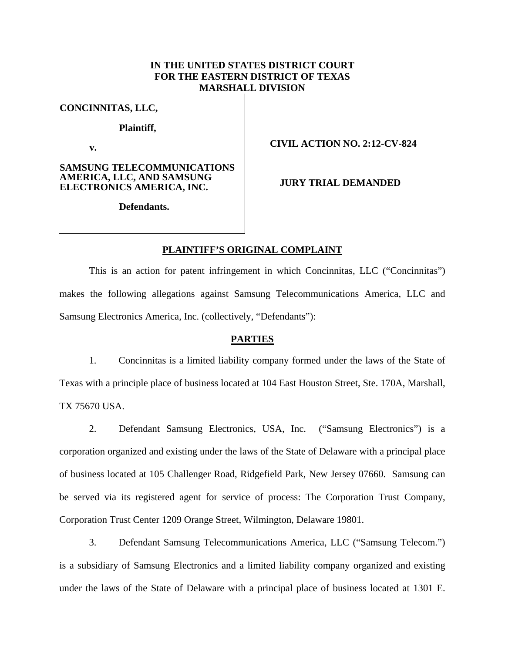# **IN THE UNITED STATES DISTRICT COURT FOR THE EASTERN DISTRICT OF TEXAS MARSHALL DIVISION**

**CONCINNITAS, LLC,** 

**Plaintiff,** 

**v.** 

### **SAMSUNG TELECOMMUNICATIONS AMERICA, LLC, AND SAMSUNG ELECTRONICS AMERICA, INC.**

# **CIVIL ACTION NO. 2:12-CV-824**

**JURY TRIAL DEMANDED** 

**Defendants.** 

## **PLAINTIFF'S ORIGINAL COMPLAINT**

This is an action for patent infringement in which Concinnitas, LLC ("Concinnitas") makes the following allegations against Samsung Telecommunications America, LLC and Samsung Electronics America, Inc. (collectively, "Defendants"):

### **PARTIES**

1. Concinnitas is a limited liability company formed under the laws of the State of Texas with a principle place of business located at 104 East Houston Street, Ste. 170A, Marshall, TX 75670 USA.

2. Defendant Samsung Electronics, USA, Inc. ("Samsung Electronics") is a corporation organized and existing under the laws of the State of Delaware with a principal place of business located at 105 Challenger Road, Ridgefield Park, New Jersey 07660. Samsung can be served via its registered agent for service of process: The Corporation Trust Company, Corporation Trust Center 1209 Orange Street, Wilmington, Delaware 19801.

3. Defendant Samsung Telecommunications America, LLC ("Samsung Telecom.") is a subsidiary of Samsung Electronics and a limited liability company organized and existing under the laws of the State of Delaware with a principal place of business located at 1301 E.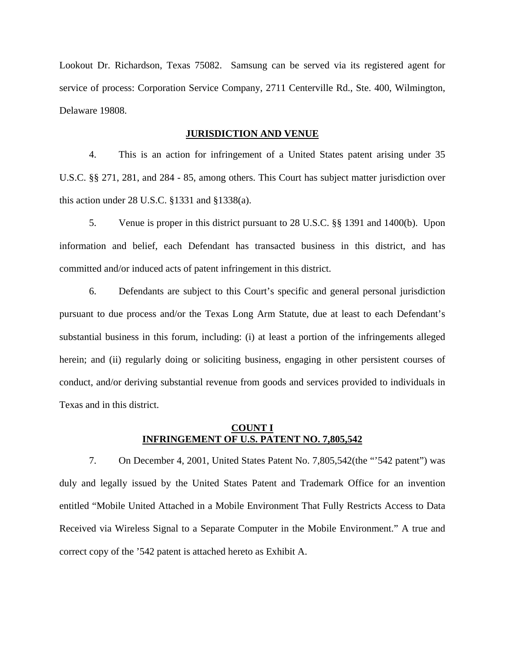Lookout Dr. Richardson, Texas 75082. Samsung can be served via its registered agent for service of process: Corporation Service Company, 2711 Centerville Rd., Ste. 400, Wilmington, Delaware 19808.

#### **JURISDICTION AND VENUE**

4. This is an action for infringement of a United States patent arising under 35 U.S.C. §§ 271, 281, and 284 - 85, among others. This Court has subject matter jurisdiction over this action under 28 U.S.C. §1331 and §1338(a).

5. Venue is proper in this district pursuant to 28 U.S.C. §§ 1391 and 1400(b). Upon information and belief, each Defendant has transacted business in this district, and has committed and/or induced acts of patent infringement in this district.

6. Defendants are subject to this Court's specific and general personal jurisdiction pursuant to due process and/or the Texas Long Arm Statute, due at least to each Defendant's substantial business in this forum, including: (i) at least a portion of the infringements alleged herein; and (ii) regularly doing or soliciting business, engaging in other persistent courses of conduct, and/or deriving substantial revenue from goods and services provided to individuals in Texas and in this district.

# **COUNT I INFRINGEMENT OF U.S. PATENT NO. 7,805,542**

7. On December 4, 2001, United States Patent No. 7,805,542(the "'542 patent") was duly and legally issued by the United States Patent and Trademark Office for an invention entitled "Mobile United Attached in a Mobile Environment That Fully Restricts Access to Data Received via Wireless Signal to a Separate Computer in the Mobile Environment." A true and correct copy of the '542 patent is attached hereto as Exhibit A.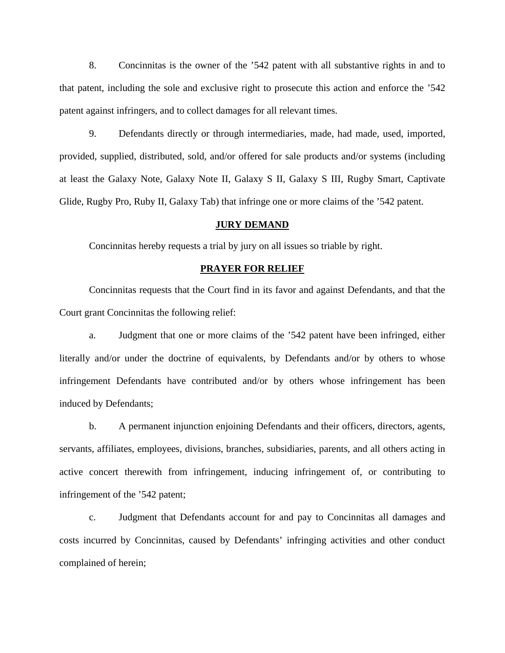8. Concinnitas is the owner of the '542 patent with all substantive rights in and to that patent, including the sole and exclusive right to prosecute this action and enforce the '542 patent against infringers, and to collect damages for all relevant times.

9. Defendants directly or through intermediaries, made, had made, used, imported, provided, supplied, distributed, sold, and/or offered for sale products and/or systems (including at least the Galaxy Note, Galaxy Note II, Galaxy S II, Galaxy S III, Rugby Smart, Captivate Glide, Rugby Pro, Ruby II, Galaxy Tab) that infringe one or more claims of the '542 patent.

#### **JURY DEMAND**

Concinnitas hereby requests a trial by jury on all issues so triable by right.

### **PRAYER FOR RELIEF**

Concinnitas requests that the Court find in its favor and against Defendants, and that the Court grant Concinnitas the following relief:

a. Judgment that one or more claims of the '542 patent have been infringed, either literally and/or under the doctrine of equivalents, by Defendants and/or by others to whose infringement Defendants have contributed and/or by others whose infringement has been induced by Defendants;

b. A permanent injunction enjoining Defendants and their officers, directors, agents, servants, affiliates, employees, divisions, branches, subsidiaries, parents, and all others acting in active concert therewith from infringement, inducing infringement of, or contributing to infringement of the '542 patent;

c. Judgment that Defendants account for and pay to Concinnitas all damages and costs incurred by Concinnitas, caused by Defendants' infringing activities and other conduct complained of herein;